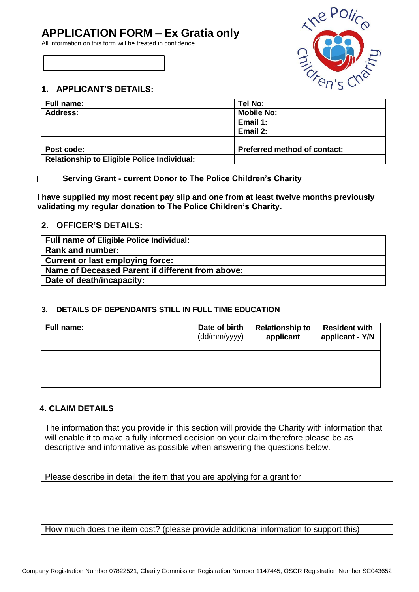# **APPLICATION FORM – Ex Gratia only**

All information on this form will be treated in confidence.



# **1. APPLICANT'S DETAILS:**

| <b>Full name:</b>                                  | Tel No:                             |  |
|----------------------------------------------------|-------------------------------------|--|
| <b>Address:</b>                                    | <b>Mobile No:</b>                   |  |
|                                                    | Email 1:                            |  |
|                                                    | Email 2:                            |  |
|                                                    |                                     |  |
| Post code:                                         | <b>Preferred method of contact:</b> |  |
| <b>Relationship to Eligible Police Individual:</b> |                                     |  |

#### $\Box$ **Serving Grant - current Donor to The Police Children's Charity**

**I have supplied my most recent pay slip and one from at least twelve months previously validating my regular donation to The Police Children's Charity.**

#### **2. OFFICER'S DETAILS:**

| Full name of Eligible Police Individual:         |
|--------------------------------------------------|
| Rank and number:                                 |
| <b>Current or last employing force:</b>          |
| Name of Deceased Parent if different from above: |
| Date of death/incapacity:                        |

# **3. DETAILS OF DEPENDANTS STILL IN FULL TIME EDUCATION**

| Full name: | Date of birth<br>(dd/mm/yyyy) | <b>Relationship to</b><br>applicant | <b>Resident with</b><br>applicant - Y/N |
|------------|-------------------------------|-------------------------------------|-----------------------------------------|
|            |                               |                                     |                                         |
|            |                               |                                     |                                         |
|            |                               |                                     |                                         |
|            |                               |                                     |                                         |
|            |                               |                                     |                                         |

# **4. CLAIM DETAILS**

The information that you provide in this section will provide the Charity with information that will enable it to make a fully informed decision on your claim therefore please be as descriptive and informative as possible when answering the questions below.

Please describe in detail the item that you are applying for a grant for

How much does the item cost? (please provide additional information to support this)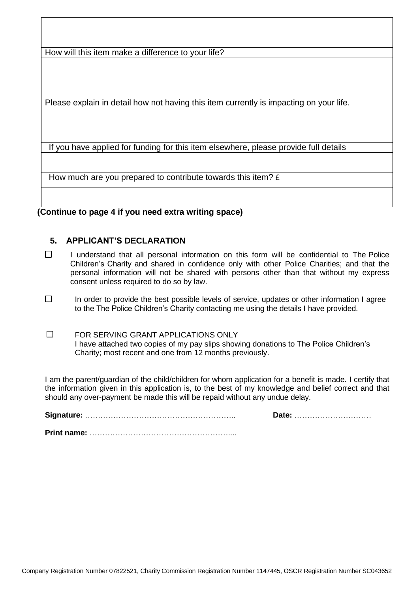How will this item make a difference to your life?

Please explain in detail how not having this item currently is impacting on your life.

If you have applied for funding for this item elsewhere, please provide full details

How much are you prepared to contribute towards this item?  $f$ 

**(Continue to page 4 if you need extra writing space)**

### **5. APPLICANT'S DECLARATION**

- $\Box$ I understand that all personal information on this form will be confidential to The Police Children's Charity and shared in confidence only with other Police Charities; and that the personal information will not be shared with persons other than that without my express consent unless required to do so by law.
- $\Box$ In order to provide the best possible levels of service, updates or other information I agree to the The Police Children's Charity contacting me using the details I have provided.
- $\Box$ FOR SERVING GRANT APPLICATIONS ONLY I have attached two copies of my pay slips showing donations to The Police Children's Charity; most recent and one from 12 months previously.

I am the parent/guardian of the child/children for whom application for a benefit is made. I certify that the information given in this application is, to the best of my knowledge and belief correct and that should any over-payment be made this will be repaid without any undue delay.

**Signature:** ………………………………………………….. **Date:** …………………………

**Print name:** ………………………………………………....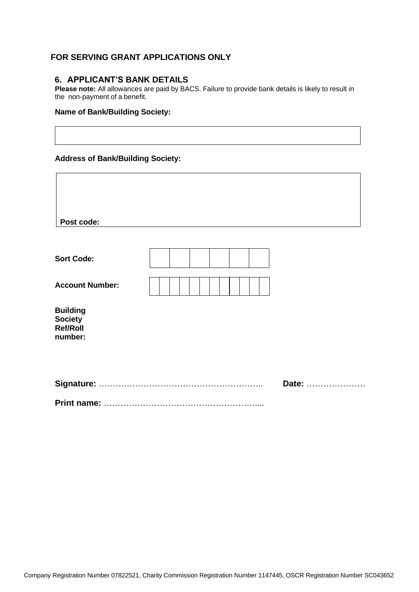# **FOR SERVING GRANT APPLICATIONS ONLY**

#### **6. APPLICANT'S BANK DETAILS**

**Please note:** All allowances are paid by BACS. Failure to provide bank details is likely to result in the non-payment of a benefit.

 $\overline{\mathsf{I}}$ 

#### **Name of Bank/Building Society:**

#### **Address of Bank/Building Society:**

 $\overline{\Gamma}$ 

| Post code:                                                      |  |  |  |  |  |
|-----------------------------------------------------------------|--|--|--|--|--|
|                                                                 |  |  |  |  |  |
| <b>Sort Code:</b>                                               |  |  |  |  |  |
| <b>Account Number:</b>                                          |  |  |  |  |  |
| <b>Building</b><br><b>Society</b><br><b>Ref/Roll</b><br>number: |  |  |  |  |  |
|                                                                 |  |  |  |  |  |
| Date:                                                           |  |  |  |  |  |
|                                                                 |  |  |  |  |  |